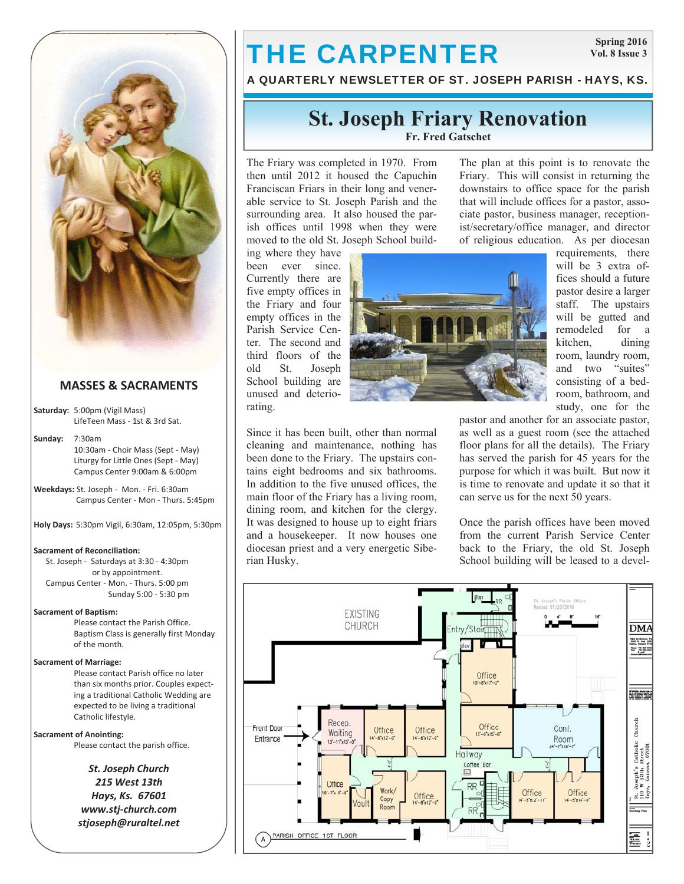

# **MASSES & SACRAMENTS**

**Saturday:** 5:00pm (Vigil Mass) LifeTeen Mass ‐ 1st & 3rd Sat.

**Sunday:** 7:30am 10:30am ‐ Choir Mass (Sept ‐ May) Liturgy for Little Ones (Sept ‐ May) Campus Center 9:00am & 6:00pm

**Weekdays:** St. Joseph ‐ Mon. ‐ Fri. 6:30am Campus Center ‐ Mon ‐ Thurs. 5:45pm

**Holy Days:** 5:30pm Vigil, 6:30am, 12:05pm, 5:30pm

#### **Sacrament of Reconciliation:**

 St. Joseph ‐ Saturdays at 3:30 ‐ 4:30pm or by appointment. Campus Center ‐ Mon. ‐ Thurs. 5:00 pm Sunday 5:00 ‐ 5:30 pm

#### **Sacrament of Baptism:**

Please contact the Parish Office. Baptism Class is generally first Monday of the month.

#### **Sacrament of Marriage:**

Please contact Parish office no later than six months prior. Couples expect‐ ing a traditional Catholic Wedding are expected to be living a traditional Catholic lifestyle.

#### **Sacrament of Anointing:**

Please contact the parish office.

*St. Joseph Church 215 West 13th Hays, Ks. 67601 www.stj‐church.com stjoseph@ruraltel.net*

# THE CARPENTER

**Spring 2016 Vol. 8 Issue 3** 

A QUARTERLY NEWSLETTER OF ST. JOSEPH PARISH - HAYS, KS.

# **St. Joseph Friary Renovation Fr. Fred Gatschet**

The Friary was completed in 1970. From then until 2012 it housed the Capuchin Franciscan Friars in their long and venerable service to St. Joseph Parish and the surrounding area. It also housed the parish offices until 1998 when they were moved to the old St. Joseph School build-

ing where they have been ever since. Currently there are five empty offices in the Friary and four empty offices in the Parish Service Center. The second and third floors of the old St. Joseph School building are unused and deteriorating.



The plan at this point is to renovate the Friary. This will consist in returning the downstairs to office space for the parish that will include offices for a pastor, associate pastor, business manager, receptionist/secretary/office manager, and director of religious education. As per diocesan

requirements, there will be 3 extra offices should a future pastor desire a larger staff. The upstairs will be gutted and remodeled for a kitchen, dining room, laundry room, and two "suites" consisting of a bedroom, bathroom, and study, one for the

Since it has been built, other than normal cleaning and maintenance, nothing has been done to the Friary. The upstairs contains eight bedrooms and six bathrooms. In addition to the five unused offices, the main floor of the Friary has a living room, dining room, and kitchen for the clergy. It was designed to house up to eight friars and a housekeeper. It now houses one diocesan priest and a very energetic Siberian Husky.

pastor and another for an associate pastor, as well as a guest room (see the attached floor plans for all the details). The Friary has served the parish for 45 years for the purpose for which it was built. But now it is time to renovate and update it so that it can serve us for the next 50 years.

Once the parish offices have been moved from the current Parish Service Center back to the Friary, the old St. Joseph School building will be leased to a devel-

![](_page_0_Figure_27.jpeg)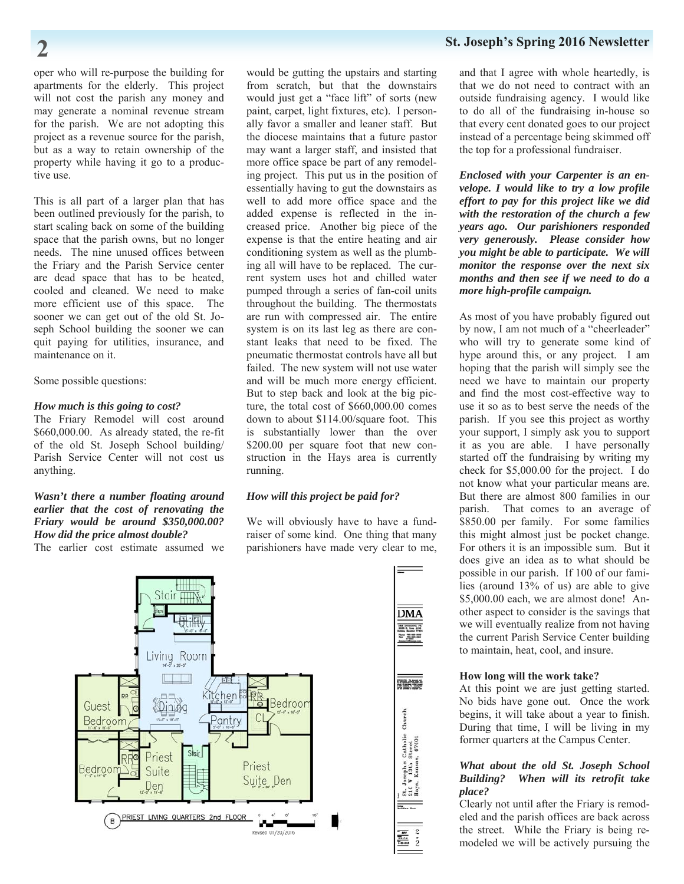oper who will re-purpose the building for apartments for the elderly. This project will not cost the parish any money and may generate a nominal revenue stream for the parish. We are not adopting this project as a revenue source for the parish, but as a way to retain ownership of the property while having it go to a productive use.

This is all part of a larger plan that has been outlined previously for the parish, to start scaling back on some of the building space that the parish owns, but no longer needs. The nine unused offices between the Friary and the Parish Service center are dead space that has to be heated, cooled and cleaned. We need to make more efficient use of this space. The sooner we can get out of the old St. Joseph School building the sooner we can quit paying for utilities, insurance, and maintenance on it.

Some possible questions:

### *How much is this going to cost?*

The Friary Remodel will cost around \$660,000.00. As already stated, the re-fit of the old St. Joseph School building/ Parish Service Center will not cost us anything.

### *Wasn't there a number floating around earlier that the cost of renovating the Friary would be around \$350,000.00? How did the price almost double?*

The earlier cost estimate assumed we

would be gutting the upstairs and starting from scratch, but that the downstairs would just get a "face lift" of sorts (new paint, carpet, light fixtures, etc). I personally favor a smaller and leaner staff. But the diocese maintains that a future pastor may want a larger staff, and insisted that more office space be part of any remodeling project. This put us in the position of essentially having to gut the downstairs as well to add more office space and the added expense is reflected in the increased price. Another big piece of the expense is that the entire heating and air conditioning system as well as the plumbing all will have to be replaced. The current system uses hot and chilled water pumped through a series of fan-coil units throughout the building. The thermostats are run with compressed air. The entire system is on its last leg as there are constant leaks that need to be fixed. The pneumatic thermostat controls have all but failed. The new system will not use water and will be much more energy efficient. But to step back and look at the big picture, the total cost of \$660,000.00 comes down to about \$114.00/square foot. This is substantially lower than the over \$200.00 per square foot that new construction in the Hays area is currently running.

### *How will this project be paid for?*

We will obviously have to have a fundraiser of some kind. One thing that many parishioners have made very clear to me,

![](_page_1_Figure_11.jpeg)

and that I agree with whole heartedly, is that we do not need to contract with an outside fundraising agency. I would like to do all of the fundraising in-house so that every cent donated goes to our project instead of a percentage being skimmed off the top for a professional fundraiser.

*Enclosed with your Carpenter is an envelope. I would like to try a low profile effort to pay for this project like we did with the restoration of the church a few years ago. Our parishioners responded very generously. Please consider how you might be able to participate. We will monitor the response over the next six months and then see if we need to do a more high-profile campaign.* 

As most of you have probably figured out by now, I am not much of a "cheerleader" who will try to generate some kind of hype around this, or any project. I am hoping that the parish will simply see the need we have to maintain our property and find the most cost-effective way to use it so as to best serve the needs of the parish. If you see this project as worthy your support, I simply ask you to support it as you are able. I have personally started off the fundraising by writing my check for \$5,000.00 for the project. I do not know what your particular means are. But there are almost 800 families in our parish. That comes to an average of \$850.00 per family. For some families this might almost just be pocket change. For others it is an impossible sum. But it does give an idea as to what should be possible in our parish. If 100 of our families (around 13% of us) are able to give \$5,000.00 each, we are almost done! Another aspect to consider is the savings that we will eventually realize from not having the current Parish Service Center building to maintain, heat, cool, and insure.

#### **How long will the work take?**

At this point we are just getting started. No bids have gone out. Once the work begins, it will take about a year to finish. During that time, I will be living in my former quarters at the Campus Center.

### *What about the old St. Joseph School Building? When will its retrofit take place?*

Clearly not until after the Friary is remodeled and the parish offices are back across the street. While the Friary is being remodeled we will be actively pursuing the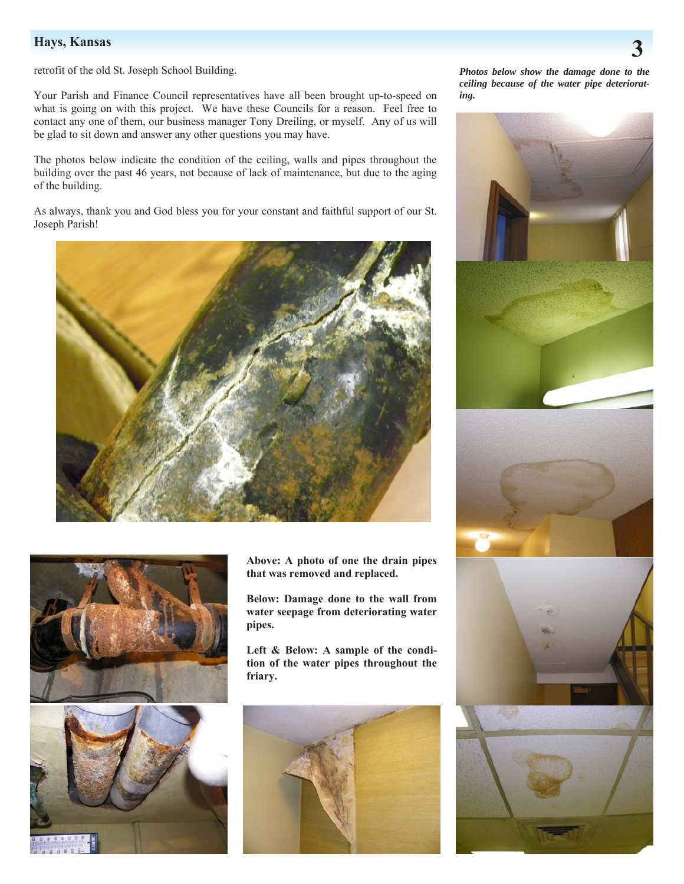retrofit of the old St. Joseph School Building.

Your Parish and Finance Council representatives have all been brought up-to-speed on what is going on with this project. We have these Councils for a reason. Feel free to contact any one of them, our business manager Tony Dreiling, or myself. Any of us will be glad to sit down and answer any other questions you may have.

The photos below indicate the condition of the ceiling, walls and pipes throughout the building over the past 46 years, not because of lack of maintenance, but due to the aging of the building.

As always, thank you and God bless you for your constant and faithful support of our St. Joseph Parish!

![](_page_2_Picture_5.jpeg)

![](_page_2_Picture_6.jpeg)

![](_page_2_Picture_7.jpeg)

**Above: A photo of one the drain pipes that was removed and replaced.** 

**Below: Damage done to the wall from water seepage from deteriorating water pipes.** 

**Left & Below: A sample of the condition of the water pipes throughout the friary.** 

![](_page_2_Picture_11.jpeg)

*Photos below show the damage done to the ceiling because of the water pipe deteriorating.* 

![](_page_2_Picture_13.jpeg)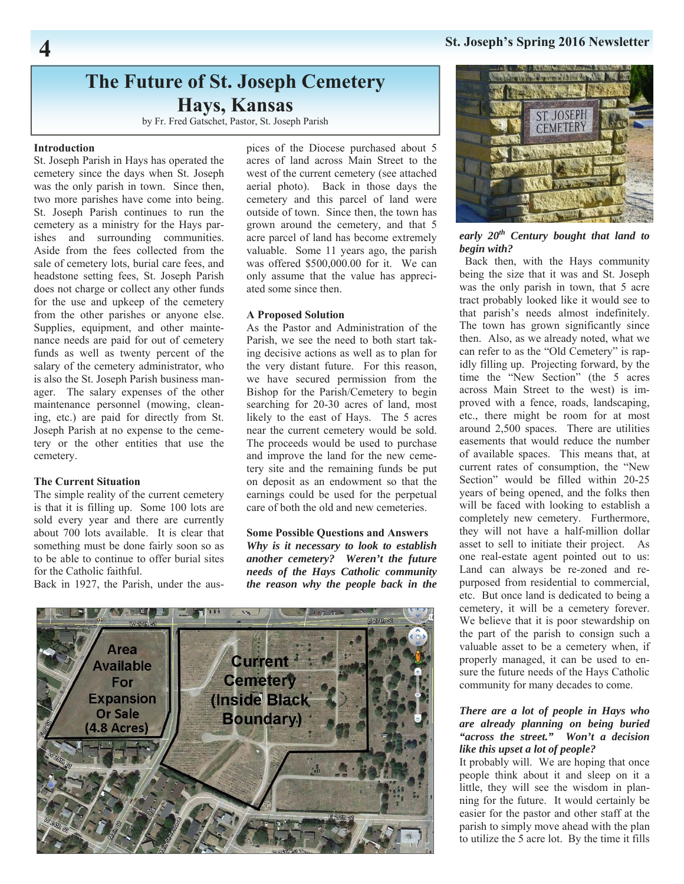# **St. Joseph's Spring 2016 Newsletter 4**

# **The Future of St. Joseph Cemetery Hays, Kansas**

by Fr. Fred Gatschet, Pastor, St. Joseph Parish

#### **Introduction**

St. Joseph Parish in Hays has operated the cemetery since the days when St. Joseph was the only parish in town. Since then, two more parishes have come into being. St. Joseph Parish continues to run the cemetery as a ministry for the Hays parishes and surrounding communities. Aside from the fees collected from the sale of cemetery lots, burial care fees, and headstone setting fees, St. Joseph Parish does not charge or collect any other funds for the use and upkeep of the cemetery from the other parishes or anyone else. Supplies, equipment, and other maintenance needs are paid for out of cemetery funds as well as twenty percent of the salary of the cemetery administrator, who is also the St. Joseph Parish business manager. The salary expenses of the other maintenance personnel (mowing, cleaning, etc.) are paid for directly from St. Joseph Parish at no expense to the cemetery or the other entities that use the cemetery.

### **The Current Situation**

The simple reality of the current cemetery is that it is filling up. Some 100 lots are sold every year and there are currently about 700 lots available. It is clear that something must be done fairly soon so as to be able to continue to offer burial sites for the Catholic faithful.

Back in 1927, the Parish, under the aus-

pices of the Diocese purchased about 5 acres of land across Main Street to the west of the current cemetery (see attached aerial photo). Back in those days the cemetery and this parcel of land were outside of town. Since then, the town has grown around the cemetery, and that 5 acre parcel of land has become extremely valuable. Some 11 years ago, the parish was offered \$500,000.00 for it. We can only assume that the value has appreciated some since then.

#### **A Proposed Solution**

As the Pastor and Administration of the Parish, we see the need to both start taking decisive actions as well as to plan for the very distant future. For this reason, we have secured permission from the Bishop for the Parish/Cemetery to begin searching for 20-30 acres of land, most likely to the east of Hays. The 5 acres near the current cemetery would be sold. The proceeds would be used to purchase and improve the land for the new cemetery site and the remaining funds be put on deposit as an endowment so that the earnings could be used for the perpetual care of both the old and new cemeteries.

### **Some Possible Questions and Answers**

*Why is it necessary to look to establish another cemetery? Weren't the future needs of the Hays Catholic community the reason why the people back in the* 

![](_page_3_Picture_13.jpeg)

![](_page_3_Picture_14.jpeg)

*early 20th Century bought that land to begin with?* 

Back then, with the Hays community being the size that it was and St. Joseph was the only parish in town, that 5 acre tract probably looked like it would see to that parish's needs almost indefinitely. The town has grown significantly since then. Also, as we already noted, what we can refer to as the "Old Cemetery" is rapidly filling up. Projecting forward, by the time the "New Section" (the 5 acres across Main Street to the west) is improved with a fence, roads, landscaping, etc., there might be room for at most around 2,500 spaces. There are utilities easements that would reduce the number of available spaces. This means that, at current rates of consumption, the "New Section" would be filled within 20-25 years of being opened, and the folks then will be faced with looking to establish a completely new cemetery. Furthermore, they will not have a half-million dollar asset to sell to initiate their project. As one real-estate agent pointed out to us: Land can always be re-zoned and repurposed from residential to commercial, etc. But once land is dedicated to being a cemetery, it will be a cemetery forever. We believe that it is poor stewardship on the part of the parish to consign such a valuable asset to be a cemetery when, if properly managed, it can be used to ensure the future needs of the Hays Catholic community for many decades to come.

### *There are a lot of people in Hays who are already planning on being buried "across the street." Won't a decision like this upset a lot of people?*

It probably will. We are hoping that once people think about it and sleep on it a little, they will see the wisdom in planning for the future. It would certainly be easier for the pastor and other staff at the parish to simply move ahead with the plan to utilize the 5 acre lot. By the time it fills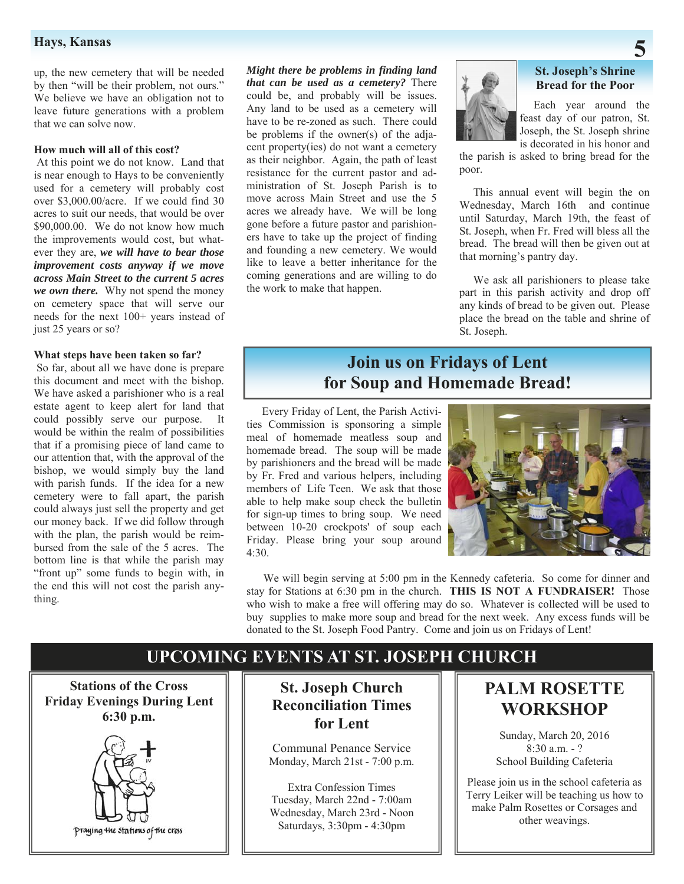# **Hays, Kansas** 5 **5**

up, the new cemetery that will be needed by then "will be their problem, not ours." We believe we have an obligation not to leave future generations with a problem that we can solve now.

#### **How much will all of this cost?**

At this point we do not know. Land that is near enough to Hays to be conveniently used for a cemetery will probably cost over \$3,000.00/acre. If we could find 30 acres to suit our needs, that would be over \$90,000.00. We do not know how much the improvements would cost, but whatever they are, *we will have to bear those improvement costs anyway if we move across Main Street to the current 5 acres we own there.* Why not spend the money on cemetery space that will serve our needs for the next 100+ years instead of just 25 years or so?

#### **What steps have been taken so far?**

So far, about all we have done is prepare this document and meet with the bishop. We have asked a parishioner who is a real estate agent to keep alert for land that could possibly serve our purpose. It would be within the realm of possibilities that if a promising piece of land came to our attention that, with the approval of the bishop, we would simply buy the land with parish funds. If the idea for a new cemetery were to fall apart, the parish could always just sell the property and get our money back. If we did follow through with the plan, the parish would be reimbursed from the sale of the 5 acres. The bottom line is that while the parish may "front up" some funds to begin with, in the end this will not cost the parish anything.

*Might there be problems in finding land that can be used as a cemetery?* There could be, and probably will be issues. Any land to be used as a cemetery will have to be re-zoned as such. There could be problems if the owner(s) of the adjacent property(ies) do not want a cemetery as their neighbor. Again, the path of least resistance for the current pastor and administration of St. Joseph Parish is to move across Main Street and use the 5 acres we already have. We will be long gone before a future pastor and parishioners have to take up the project of finding and founding a new cemetery. We would like to leave a better inheritance for the coming generations and are willing to do the work to make that happen.

![](_page_4_Picture_7.jpeg)

### **St. Joseph's Shrine Bread for the Poor**

 Each year around the feast day of our patron, St. Joseph, the St. Joseph shrine is decorated in his honor and

the parish is asked to bring bread for the poor.

 This annual event will begin the on Wednesday, March 16th and continue until Saturday, March 19th, the feast of St. Joseph, when Fr. Fred will bless all the bread. The bread will then be given out at that morning's pantry day.

 We ask all parishioners to please take part in this parish activity and drop off any kinds of bread to be given out. Please place the bread on the table and shrine of St. Joseph.

# **Join us on Fridays of Lent for Soup and Homemade Bread!**

 Every Friday of Lent, the Parish Activities Commission is sponsoring a simple meal of homemade meatless soup and homemade bread. The soup will be made by parishioners and the bread will be made by Fr. Fred and various helpers, including members of Life Teen. We ask that those able to help make soup check the bulletin for sign-up times to bring soup. We need between 10-20 crockpots' of soup each Friday. Please bring your soup around 4:30.

![](_page_4_Picture_15.jpeg)

 We will begin serving at 5:00 pm in the Kennedy cafeteria. So come for dinner and stay for Stations at 6:30 pm in the church. **THIS IS NOT A FUNDRAISER!** Those who wish to make a free will offering may do so. Whatever is collected will be used to buy supplies to make more soup and bread for the next week. Any excess funds will be donated to the St. Joseph Food Pantry. Come and join us on Fridays of Lent!

# **UPCOMING EVENTS AT ST. JOSEPH CHURCH**

**Stations of the Cross Friday Evenings During Lent 6:30 p.m.** 

![](_page_4_Picture_19.jpeg)

**St. Joseph Church Reconciliation Times for Lent** 

Communal Penance Service Monday, March 21st - 7:00 p.m.

Extra Confession Times Tuesday, March 22nd - 7:00am Wednesday, March 23rd - Noon Saturdays, 3:30pm - 4:30pm

# **PALM ROSETTE WORKSHOP**

Sunday, March 20, 2016 8:30 a.m. - ? School Building Cafeteria

Please join us in the school cafeteria as Terry Leiker will be teaching us how to make Palm Rosettes or Corsages and other weavings.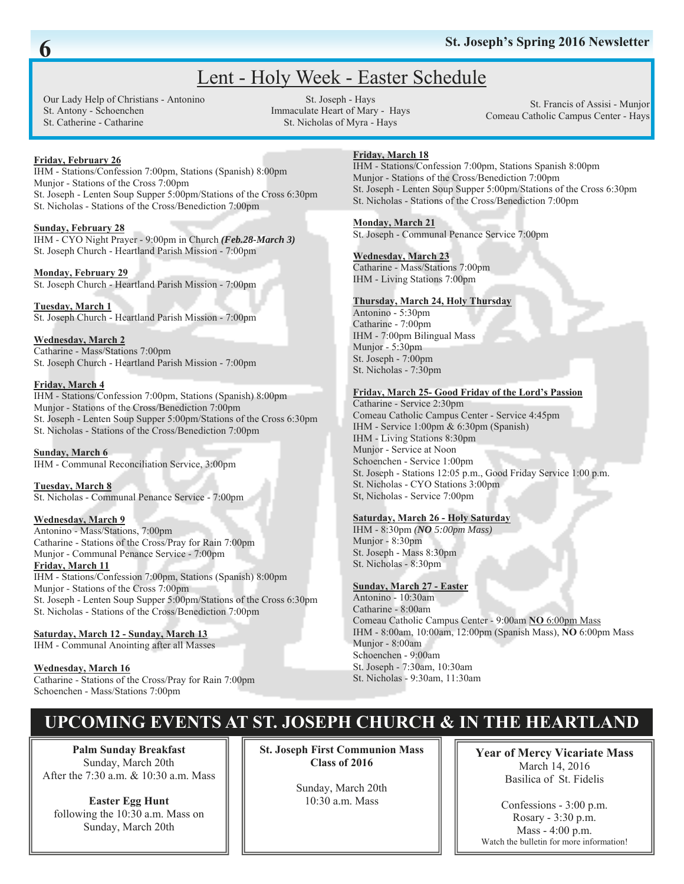# Lent - Holy Week - Easter Schedule

Our Lady Help of Christians - Antonino St. Antony - Schoenchen St. Catherine - Catharine

St. Joseph - Hays Immaculate Heart of Mary - Hays St. Nicholas of Myra - Hays

St. Francis of Assisi - Munjor Comeau Catholic Campus Center - Hays

# **Friday, February 26**

IHM - Stations/Confession 7:00pm, Stations (Spanish) 8:00pm Munjor - Stations of the Cross 7:00pm St. Joseph - Lenten Soup Supper 5:00pm/Stations of the Cross 6:30pm St. Nicholas - Stations of the Cross/Benediction 7:00pm

### **Sunday, February 28**

IHM - CYO Night Prayer - 9:00pm in Church *(Feb.28-March 3)* St. Joseph Church - Heartland Parish Mission - 7:00pm

#### **Monday, February 29**

St. Joseph Church - Heartland Parish Mission - 7:00pm

#### **Tuesday, March 1**  St. Joseph Church - Heartland Parish Mission - 7:00pm

**Wednesday, March 2** Catharine - Mass/Stations 7:00pm St. Joseph Church - Heartland Parish Mission - 7:00pm

#### **Friday, March 4**

IHM - Stations/Confession 7:00pm, Stations (Spanish) 8:00pm Munjor - Stations of the Cross/Benediction 7:00pm St. Joseph - Lenten Soup Supper 5:00pm/Stations of the Cross 6:30pm St. Nicholas - Stations of the Cross/Benediction 7:00pm

**Sunday, March 6** IHM - Communal Reconciliation Service, 3:00pm

**Tuesday, March 8** St. Nicholas - Communal Penance Service - 7:00pm

#### **Wednesday, March 9**

Antonino - Mass/Stations, 7:00pm Catharine - Stations of the Cross/Pray for Rain 7:00pm Munjor - Communal Penance Service - 7:00pm **Friday, March 11** IHM - Stations/Confession 7:00pm, Stations (Spanish) 8:00pm Munjor - Stations of the Cross 7:00pm St. Joseph - Lenten Soup Supper 5:00pm/Stations of the Cross 6:30pm St. Nicholas - Stations of the Cross/Benediction 7:00pm

### **Saturday, March 12 - Sunday, March 13**

IHM - Communal Anointing after all Masses

**Wednesday, March 16** Catharine - Stations of the Cross/Pray for Rain 7:00pm Schoenchen - Mass/Stations 7:00pm

# **Friday, March 18**

IHM - Stations/Confession 7:00pm, Stations Spanish 8:00pm Munjor - Stations of the Cross/Benediction 7:00pm St. Joseph - Lenten Soup Supper 5:00pm/Stations of the Cross 6:30pm St. Nicholas - Stations of the Cross/Benediction 7:00pm

#### **Monday, March 21**

St. Joseph - Communal Penance Service 7:00pm

#### **Wednesday, March 23**

Catharine - Mass/Stations 7:00pm IHM - Living Stations 7:00pm

### **Thursday, March 24, Holy Thursday**

Antonino - 5:30pm Catharine - 7:00pm IHM - 7:00pm Bilingual Mass Munjor - 5:30pm St. Joseph - 7:00pm St. Nicholas - 7:30pm

#### **Friday, March 25- Good Friday of the Lord's Passion**

Catharine - Service 2:30pm Comeau Catholic Campus Center - Service 4:45pm IHM - Service 1:00pm & 6:30pm (Spanish) IHM - Living Stations 8:30pm Munjor - Service at Noon Schoenchen - Service 1:00pm St. Joseph - Stations 12:05 p.m., Good Friday Service 1:00 p.m. St. Nicholas - CYO Stations 3:00pm St, Nicholas - Service 7:00pm

### **Saturday, March 26 - Holy Saturday**

IHM - 8:30pm *(NO 5:00pm Mass)* Munjor - 8:30pm St. Joseph - Mass 8:30pm St. Nicholas - 8:30pm

### **Sunday, March 27 - Easter**

Antonino - 10:30am Catharine - 8:00am Comeau Catholic Campus Center - 9:00am **NO** 6:00pm Mass IHM - 8:00am, 10:00am, 12:00pm (Spanish Mass), **NO** 6:00pm Mass Munjor - 8:00am Schoenchen - 9:00am St. Joseph - 7:30am, 10:30am St. Nicholas - 9:30am, 11:30am

# **UPCOMING EVENTS AT ST. JOSEPH CHURCH & IN THE HEARTLAND**

**Palm Sunday Breakfast**  Sunday, March 20th After the 7:30 a.m. & 10:30 a.m. Mass

**Easter Egg Hunt**  following the 10:30 a.m. Mass on Sunday, March 20th

**St. Joseph First Communion Mass Class of 2016** 

> Sunday, March 20th 10:30 a.m. Mass

**Year of Mercy Vicariate Mass**  March 14, 2016 Basilica of St. Fidelis

Confessions - 3:00 p.m. Rosary - 3:30 p.m. Mass - 4:00 p.m. Watch the bulletin for more information!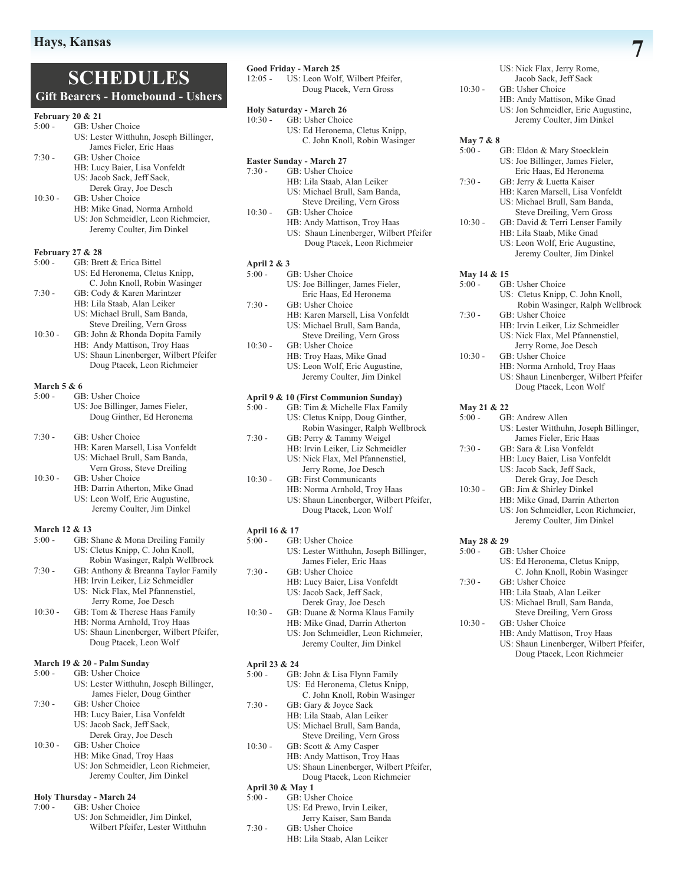# **SCHEDULES Gift Bearers - Homebound - Ushers**

### $200021$

| Pedfuary 20 & 21            |                                                                                                                                                       |
|-----------------------------|-------------------------------------------------------------------------------------------------------------------------------------------------------|
| $5:00 -$                    | GB: Usher Choice                                                                                                                                      |
|                             | US: Lester Witthuhn, Joseph Billinger,                                                                                                                |
|                             | James Fieler, Eric Haas                                                                                                                               |
| $7:30 -$                    | GB: Usher Choice                                                                                                                                      |
|                             | HB: Lucy Baier, Lisa Vonfeldt                                                                                                                         |
|                             | US: Jacob Sack, Jeff Sack,                                                                                                                            |
|                             | Derek Gray, Joe Desch                                                                                                                                 |
| $10:30 -$                   | GB: Usher Choice                                                                                                                                      |
|                             | HB: Mike Gnad, Norma Arnhold                                                                                                                          |
|                             | US: Jon Schmeidler, Leon Richmeier,                                                                                                                   |
|                             | Jeremy Coulter, Jim Dinkel                                                                                                                            |
|                             |                                                                                                                                                       |
| <b>February 27 &amp; 28</b> |                                                                                                                                                       |
| $5:00 -$                    | GB: Brett & Erica Bittel                                                                                                                              |
|                             | US: Ed Heronema, Cletus Knipp,                                                                                                                        |
|                             | C. John Knoll, Robin Wasinger                                                                                                                         |
| $7:30 -$                    | GB: Cody & Karen Marintzer                                                                                                                            |
|                             | HB: Lila Staab, Alan Leiker                                                                                                                           |
|                             | US: Michael Brull, Sam Banda,                                                                                                                         |
|                             | Steve Dreiling, Vern Gross                                                                                                                            |
| $10:30 -$                   | GB: John & Rhonda Dopita Family                                                                                                                       |
|                             | HB: Andy Mattison, Troy Haas                                                                                                                          |
|                             | $\mathbf{H}(\mathbf{C})$ , $\mathbf{C}(\mathbf{L}, \mathbf{C})$ , $\mathbf{L}$ is subsequently if $\mathbf{H}(\mathbf{C})$ . $\mathbf{H}(\mathbf{C})$ |

 US: Shaun Linenberger, Wilbert Pfeifer Doug Ptacek, Leon Richmeier

#### **March 5 & 6**

- 5:00 GB: Usher Choice
	- US: Joe Billinger, James Fieler, Doug Ginther, Ed Heronema

7:30 - GB: Usher Choice

- HB: Karen Marsell, Lisa Vonfeldt US: Michael Brull, Sam Banda, Vern Gross, Steve Dreiling
- 10:30 GB: Usher Choice
	- HB: Darrin Atherton, Mike Gnad US: Leon Wolf, Eric Augustine, Jeremy Coulter, Jim Dinkel

# **March 12 & 13**<br>5:00 - **GB**

- GB: Shane & Mona Dreiling Family US: Cletus Knipp, C. John Knoll, Robin Wasinger, Ralph Wellbrock<br>7.30 - GB: Anthony & Breanna Taylor Family
	- GB: Anthony & Breanna Taylor Family HB: Irvin Leiker, Liz Schmeidler US: Nick Flax, Mel Pfannenstiel,
- Jerry Rome, Joe Desch 10:30 - GB: Tom & Therese Haas Family HB: Norma Arnhold, Troy Haas US: Shaun Linenberger, Wilbert Pfeifer,
	- Doug Ptacek, Leon Wolf

#### **March 19 & 20 - Palm Sunday**   $GR:$  Usher Choice

| 2.VV =    | $\left( \frac{1}{2} \right)$ . Concerned Control |
|-----------|--------------------------------------------------|
|           | US: Lester Witthuhn, Joseph Billinger,           |
|           | James Fieler, Doug Ginther                       |
| $7:30-$   | GB: Usher Choice                                 |
|           | HB: Lucy Baier, Lisa Vonfeldt                    |
|           | US: Jacob Sack, Jeff Sack,                       |
|           | Derek Gray, Joe Desch                            |
| $10:30 -$ | GB: Usher Choice                                 |
|           | HB: Mike Gnad, Troy Haas                         |
|           | US: Jon Schmeidler, Leon Richmeier,              |
|           | Jeremy Coulter, Jim Dinkel                       |
|           |                                                  |

- **Holy Thursday March 24**
- 7:00 GB: Usher Choice
	- US: Jon Schmeidler, Jim Dinkel, Wilbert Pfeifer, Lester Witthuhn

**Good Friday - March 25** 12:05 - US: Leon Wolf, Wilbert Pfeifer, Doug Ptacek, Vern Gross

#### **Holy Saturday - March 26**

10:30 - GB: Usher Choice US: Ed Heronema, Cletus Knipp, C. John Knoll, Robin Wasinger

# **Easter Sunday - March 27**<br>7:30 - GB: Usher Choic

- GB: Usher Choice HB: Lila Staab, Alan Leiker US: Michael Brull, Sam Banda, Steve Dreiling, Vern Gross<br>10:30 - GB: Usher Choice
	- GB: Usher Choice
	- HB: Andy Mattison, Troy Haas US: Shaun Linenberger, Wilbert Pfeifer Doug Ptacek, Leon Richmeier

#### **April 2 & 3**

| $5:00 -$  | GB: Usher Choice                 |
|-----------|----------------------------------|
|           | US: Joe Billinger, James Fieler, |
|           | Eric Haas, Ed Heronema           |
| $7:30-$   | GB: Usher Choice                 |
|           | HB: Karen Marsell, Lisa Vonfeldt |
|           | US: Michael Brull, Sam Banda,    |
|           | Steve Dreiling, Vern Gross       |
| $10:30 -$ | GB: Usher Choice                 |
|           | HB: Troy Haas, Mike Gnad         |
|           | US: Leon Wolf, Eric Augustine,   |
|           | Jeremy Coulter, Jim Dinkel       |
|           |                                  |

#### **April 9 & 10 (First Communion Sunday)**

| $5:00 -$ | GB: Tim & Michelle Flax Family   |
|----------|----------------------------------|
|          | US: Cletus Knipp, Doug Ginther,  |
|          | Robin Wasinger, Ralph Wellbrock  |
| $7:30-$  | GB: Perry & Tammy Weigel         |
|          | HB: Irvin Leiker, Liz Schmeidler |
|          |                                  |

- US: Nick Flax, Mel Pfannenstiel, Jerry Rome, Joe Desch<br>10:30 - GB: First Communicants GB: First Communicants
	- HB: Norma Arnhold, Troy Haas US: Shaun Linenberger, Wilbert Pfeifer, Doug Ptacek, Leon Wolf

#### **April 16 & 17**

- 5:00 GB: Usher Choice US: Lester Witthuhn, Joseph Billinger, James Fieler, Eric Haas
- 7:30 GB: Usher Choice
	- HB: Lucy Baier, Lisa Vonfeldt US: Jacob Sack, Jeff Sack,

Derek Gray, Joe Desch<br>10:30 - GB: Duane & Norma Klaus GB: Duane & Norma Klaus Family HB: Mike Gnad, Darrin Atherton

 US: Jon Schmeidler, Leon Richmeier, Jeremy Coulter, Jim Dinkel

# **April 23 & 24**

- GB: John & Lisa Flynn Family US: Ed Heronema, Cletus Knipp,
- C. John Knoll, Robin Wasinger<br>7:30 GB: Garv & Jovee Sack
- GB: Gary & Joyce Sack
	- HB: Lila Staab, Alan Leiker
	- US: Michael Brull, Sam Banda,
- Steve Dreiling, Vern Gross
- 10:30 GB: Scott & Amy Casper
	- HB: Andy Mattison, Troy Haas US: Shaun Linenberger, Wilbert Pfeifer,
		- Doug Ptacek, Leon Richmeier
- 
- GB: Usher Choice
	- US: Ed Prewo, Irvin Leiker,
- Jerry Kaiser, Sam Banda<br>
7.30 GB: Usher Choice
- GB: Usher Choice HB: Lila Staab, Alan Leiker
- US: Nick Flax, Jerry Rome, Jacob Sack, Jeff Sack
- 10:30 GB: Usher Choice HB: Andy Mattison, Mike Gnad US: Jon Schmeidler, Eric Augustine, Jeremy Coulter, Jim Dinkel
- **May 7 & 8**
- 5:00 GB: Eldon & Mary Stoecklein US: Joe Billinger, James Fieler, Eric Haas, Ed Heronema
- 7:30 GB: Jerry & Luetta Kaiser HB: Karen Marsell, Lisa Vonfeldt US: Michael Brull, Sam Banda,
- Steve Dreiling, Vern Gross 10:30 - GB: David & Terri Lenser Family HB: Lila Staab, Mike Gnad
	- US: Leon Wolf, Eric Augustine, Jeremy Coulter, Jim Dinkel

#### **May 14 & 15**

- 5:00 GB: Usher Choice US: Cletus Knipp, C. John Knoll, Robin Wasinger, Ralph Wellbrock 7:30 - GB: Usher Choice HB: Irvin Leiker, Liz Schmeidler US: Nick Flax, Mel Pfannenstiel, Jerry Rome, Joe Desch 10:30 - GB: Usher Choice HB: Norma Arnhold, Troy Haas US: Shaun Linenberger, Wilbert Pfeifer
	- Doug Ptacek, Leon Wolf

#### **May 21 & 22**

| $5:00 -$  | GB: Andrew Allen                       |
|-----------|----------------------------------------|
|           | US: Lester Witthuhn, Joseph Billinger, |
|           | James Fieler, Eric Haas                |
| $7:30-$   | GB: Sara & Lisa Vonfeldt               |
|           | HB: Lucy Baier, Lisa Vonfeldt          |
|           | US: Jacob Sack, Jeff Sack,             |
|           | Derek Gray, Joe Desch                  |
| $10:30 -$ | GB: Jim & Shirley Dinkel               |
|           | HB: Mike Gnad, Darrin Atherton         |
|           | US: Jon Schmeidler, Leon Richmeier,    |
|           | Jeremy Coulter, Jim Dinkel             |
|           |                                        |

# **May 28 & 29**

- GB: Usher Choice US: Ed Heronema, Cletus Knipp, C. John Knoll, Robin Wasinger
- 7:30 GB: Usher Choice
	- HB: Lila Staab, Alan Leiker
	- US: Michael Brull, Sam Banda, Steve Dreiling, Vern Gross
- 10:30 GB: Usher Choice
	- HB: Andy Mattison, Troy Haas US: Shaun Linenberger, Wilbert Pfeifer, Doug Ptacek, Leon Richmeier

**April 30 & May 1**<br>5:00 - **GB: Us**